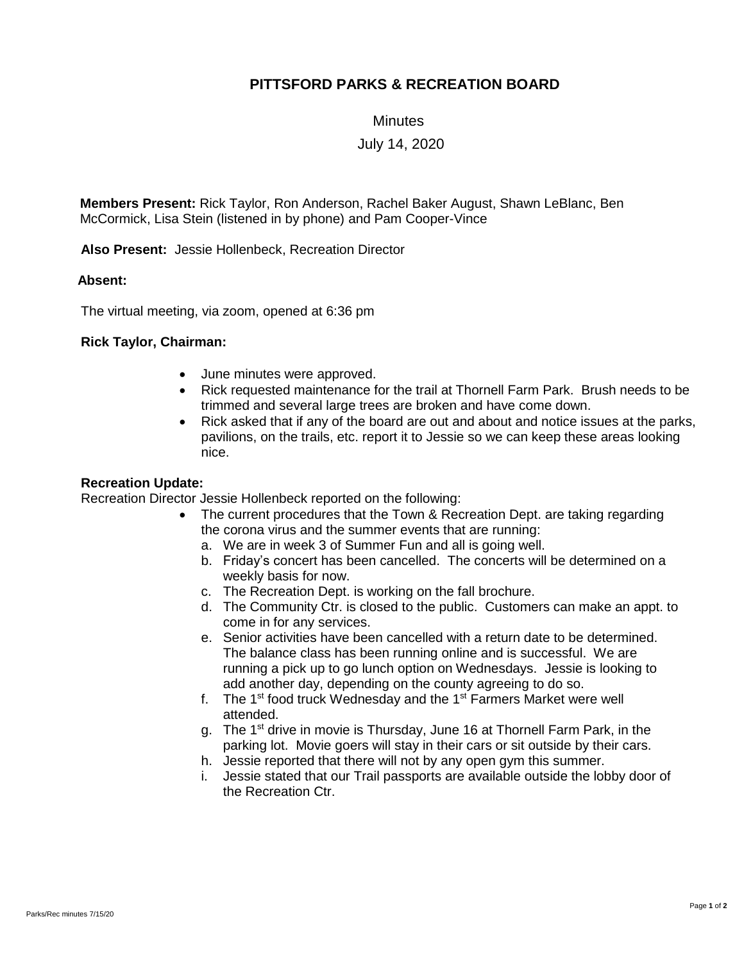# **PITTSFORD PARKS & RECREATION BOARD**

**Minutes** 

July 14, 2020

**Members Present:** Rick Taylor, Ron Anderson, Rachel Baker August, Shawn LeBlanc, Ben McCormick, Lisa Stein (listened in by phone) and Pam Cooper-Vince

**Also Present:** Jessie Hollenbeck, Recreation Director

### **Absent:**

The virtual meeting, via zoom, opened at 6:36 pm

## **Rick Taylor, Chairman:**

- June minutes were approved.
- Rick requested maintenance for the trail at Thornell Farm Park. Brush needs to be trimmed and several large trees are broken and have come down.
- Rick asked that if any of the board are out and about and notice issues at the parks, pavilions, on the trails, etc. report it to Jessie so we can keep these areas looking nice.

### **Recreation Update:**

Recreation Director Jessie Hollenbeck reported on the following:

- The current procedures that the Town & Recreation Dept. are taking regarding the corona virus and the summer events that are running:
	- a. We are in week 3 of Summer Fun and all is going well.
	- b. Friday's concert has been cancelled. The concerts will be determined on a weekly basis for now.
	- c. The Recreation Dept. is working on the fall brochure.
	- d. The Community Ctr. is closed to the public. Customers can make an appt. to come in for any services.
	- e. Senior activities have been cancelled with a return date to be determined. The balance class has been running online and is successful. We are running a pick up to go lunch option on Wednesdays. Jessie is looking to add another day, depending on the county agreeing to do so.
	- f. The 1<sup>st</sup> food truck Wednesday and the 1<sup>st</sup> Farmers Market were well attended.
	- g. The 1<sup>st</sup> drive in movie is Thursday, June 16 at Thornell Farm Park, in the parking lot. Movie goers will stay in their cars or sit outside by their cars.
	- h. Jessie reported that there will not by any open gym this summer.
	- i. Jessie stated that our Trail passports are available outside the lobby door of the Recreation Ctr.